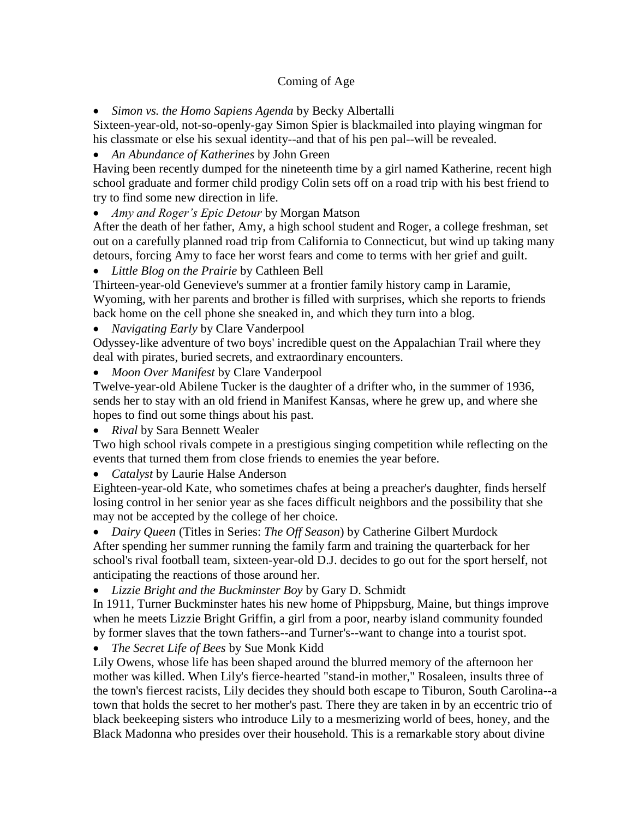## Coming of Age

*Simon vs. the Homo Sapiens Agenda* by Becky Albertalli

Sixteen-year-old, not-so-openly-gay Simon Spier is blackmailed into playing wingman for his classmate or else his sexual identity--and that of his pen pal--will be revealed.

*An Abundance of Katherines* by John Green

Having been recently dumped for the nineteenth time by a girl named Katherine, recent high school graduate and former child prodigy Colin sets off on a road trip with his best friend to try to find some new direction in life.

*Amy and Roger's Epic Detour* by Morgan Matson

After the death of her father, Amy, a high school student and Roger, a college freshman, set out on a carefully planned road trip from California to Connecticut, but wind up taking many detours, forcing Amy to face her worst fears and come to terms with her grief and guilt.

*Little Blog on the Prairie* by Cathleen Bell

Thirteen-year-old Genevieve's summer at a frontier family history camp in Laramie, Wyoming, with her parents and brother is filled with surprises, which she reports to friends back home on the cell phone she sneaked in, and which they turn into a blog.

*Navigating Early* by Clare Vanderpool

Odyssey-like adventure of two boys' incredible quest on the Appalachian Trail where they deal with pirates, buried secrets, and extraordinary encounters.

*Moon Over Manifest* by Clare Vanderpool

Twelve-year-old Abilene Tucker is the daughter of a drifter who, in the summer of 1936, sends her to stay with an old friend in Manifest Kansas, where he grew up, and where she hopes to find out some things about his past.

*Rival* by Sara Bennett Wealer

Two high school rivals compete in a prestigious singing competition while reflecting on the events that turned them from close friends to enemies the year before.

*Catalyst* by Laurie Halse Anderson

Eighteen-year-old Kate, who sometimes chafes at being a preacher's daughter, finds herself losing control in her senior year as she faces difficult neighbors and the possibility that she may not be accepted by the college of her choice.

*Dairy Queen* (Titles in Series: *The Off Season*) by Catherine Gilbert Murdock

After spending her summer running the family farm and training the quarterback for her school's rival football team, sixteen-year-old D.J. decides to go out for the sport herself, not anticipating the reactions of those around her.

*Lizzie Bright and the Buckminster Boy* by Gary D. Schmidt

In 1911, Turner Buckminster hates his new home of Phippsburg, Maine, but things improve when he meets Lizzie Bright Griffin, a girl from a poor, nearby island community founded by former slaves that the town fathers--and Turner's--want to change into a tourist spot.

*The Secret Life of Bees* by Sue Monk Kidd

Lily Owens, whose life has been shaped around the blurred memory of the afternoon her mother was killed. When Lily's fierce-hearted "stand-in mother," Rosaleen, insults three of the town's fiercest racists, Lily decides they should both escape to Tiburon, South Carolina--a town that holds the secret to her mother's past. There they are taken in by an eccentric trio of black beekeeping sisters who introduce Lily to a mesmerizing world of bees, honey, and the Black Madonna who presides over their household. This is a remarkable story about divine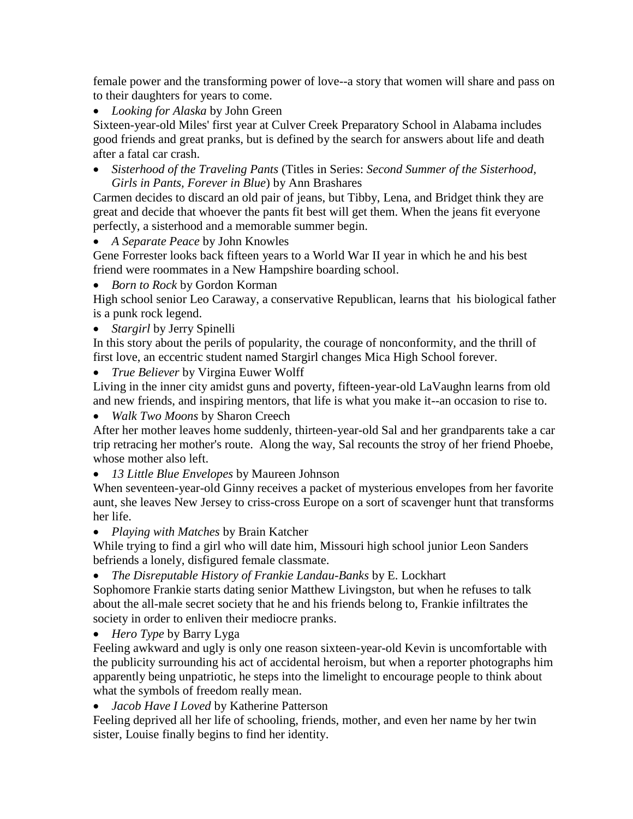female power and the transforming power of love--a story that women will share and pass on to their daughters for years to come.

*Looking for Alaska* by John Green

Sixteen-year-old Miles' first year at Culver Creek Preparatory School in Alabama includes good friends and great pranks, but is defined by the search for answers about life and death after a fatal car crash.

 *Sisterhood of the Traveling Pants* (Titles in Series: *Second Summer of the Sisterhood, Girls in Pants, Forever in Blue*) by Ann Brashares

Carmen decides to discard an old pair of jeans, but Tibby, Lena, and Bridget think they are great and decide that whoever the pants fit best will get them. When the jeans fit everyone perfectly, a sisterhood and a memorable summer begin.

*A Separate Peace* by John Knowles

Gene Forrester looks back fifteen years to a World War II year in which he and his best friend were roommates in a New Hampshire boarding school.

*Born to Rock* by Gordon Korman

High school senior Leo Caraway, a conservative Republican, learns that his biological father is a punk rock legend.

*Stargirl* by Jerry Spinelli

In this story about the perils of popularity, the courage of nonconformity, and the thrill of first love, an eccentric student named Stargirl changes Mica High School forever.

*True Believer* by Virgina Euwer Wolff

Living in the inner city amidst guns and poverty, fifteen-year-old LaVaughn learns from old and new friends, and inspiring mentors, that life is what you make it--an occasion to rise to.

*Walk Two Moons* by Sharon Creech

After her mother leaves home suddenly, thirteen-year-old Sal and her grandparents take a car trip retracing her mother's route. Along the way, Sal recounts the stroy of her friend Phoebe, whose mother also left.

*13 Little Blue Envelopes* by Maureen Johnson

When seventeen-year-old Ginny receives a packet of mysterious envelopes from her favorite aunt, she leaves New Jersey to criss-cross Europe on a sort of scavenger hunt that transforms her life.

*Playing with Matches* by Brain Katcher

While trying to find a girl who will date him, Missouri high school junior Leon Sanders befriends a lonely, disfigured female classmate.

*The Disreputable History of Frankie Landau-Banks* by E. Lockhart

Sophomore Frankie starts dating senior Matthew Livingston, but when he refuses to talk about the all-male secret society that he and his friends belong to, Frankie infiltrates the society in order to enliven their mediocre pranks.

*Hero Type* by Barry Lyga

Feeling awkward and ugly is only one reason sixteen-year-old Kevin is uncomfortable with the publicity surrounding his act of accidental heroism, but when a reporter photographs him apparently being unpatriotic, he steps into the limelight to encourage people to think about what the symbols of freedom really mean.

*Jacob Have I Loved* by Katherine Patterson

Feeling deprived all her life of schooling, friends, mother, and even her name by her twin sister, Louise finally begins to find her identity.